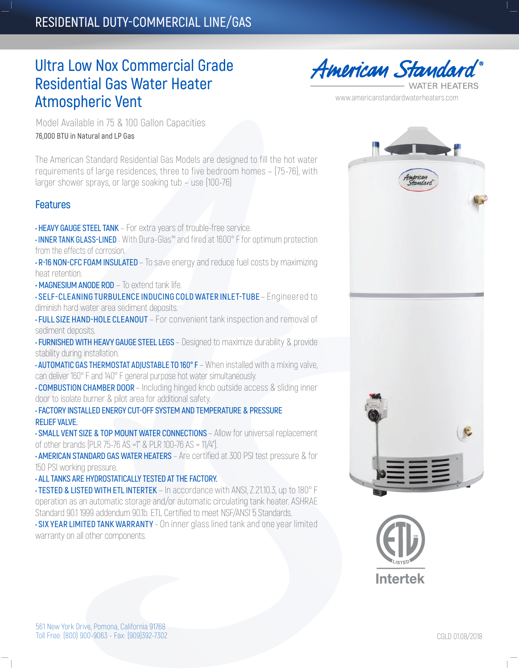## **RESIDENTIAL DUTY-COMMERCIAL LINE/GAS**

# **Ultra Low Nox Commercial Grade Residential Gas Water Heater Atmospheric Vent**

**American Standard ATER HEATERS** 

www.americanstandardwaterheaters.com

Model Available in 75 & 100 Gallon Capacities **76,000 BTU in Natural and LP Gas**

The American Standard Residential Gas Models are designed to fill the hot water requirements of large residences, three to five bedroom homes – (75-76), with larger shower sprays, or large soaking tub – use (100-76)

### **Features**

**• HEAVY GAUGE STEEL TANK** – For extra years of trouble-free service.

**• INNER TANK GLASS-LINED** – With Dura-Glas™ and fired at 1600° F for optimum protection from the effects of corrosion.

- **R-16 NON-CFC FOAM INSULATED** To save energy and reduce fuel costs by maximizing heat retention.
- **MAGNESIUM ANODE ROD** To extend tank life.

**• SELF-CLEANING TURBULENCE INDUCING COLD WATER INLET-TUBE** – Engineered to diminish hard water area sediment deposits.

**• FULL SIZE HAND-HOLE CLEANOUT** – For convenient tank inspection and removal of sediment deposits.

**• FURNISHED WITH HEAVY GAUGE STEEL LEGS** – Designed to maximize durability & provide stability during installation.

**• AUTOMATIC GAS THERMOSTAT ADJUSTABLE TO 160° F** – When installed with a mixing valve, can deliver 160° F and 140° F general purpose hot water simultaneously.

**• COMBUSTION CHAMBER DOOR** – Including hinged knob outside access & sliding inner door to isolate burner & pilot area for additional safety.

**• FACTORY INSTALLED ENERGY CUT-OFF SYSTEM AND TEMPERATURE & PRESSURE RELIEF VALVE.**

**• SMALL VENT SIZE & TOP MOUNT WATER CONNECTIONS** – Allow for universal replacement of other brands (PLR 75-76 AS =1" & PLR 100-76 AS = 11/4").

**• AMERICAN STANDARD GAS WATER HEATERS** – Are certified at 300 PSI test pressure & for 150 PSI working pressure.

**• ALL TANKS ARE HYDROSTATICALLY TESTED AT THE FACTORY.**

**• TESTED & LISTED WITH ETL INTERTEK** – In accordance with ANSI, Z.21.10.3, up to 180° F operation as an automatic storage and/or automatic circulating tank heater. ASHRAE Standard 90.1 1999 addendum 90.1b. ETL Certified to meet NSF/ANSI 5 Standards.

**• SIX YEAR LIMITED TANK WARRANTY** - On inner glass lined tank and one year limited warranty on all other components.